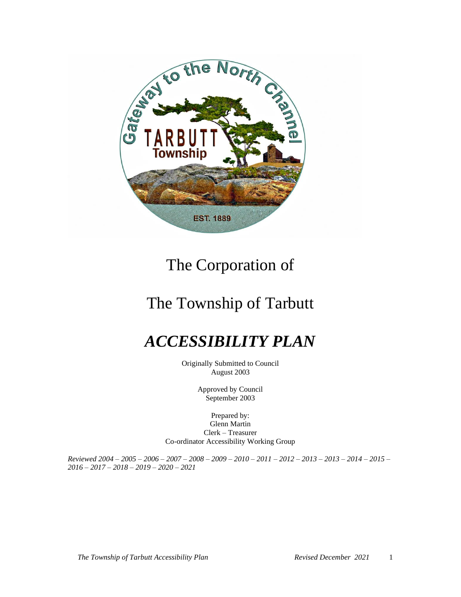

# The Corporation of

# The Township of Tarbutt

# *ACCESSIBILITY PLAN*

Originally Submitted to Council August 2003

> Approved by Council September 2003

Prepared by: Glenn Martin Clerk – Treasurer Co-ordinator Accessibility Working Group

*Reviewed 2004 – 2005 – 2006 – 2007 – 2008 – 2009 – 2010 – 2011 – 2012 – 2013 – 2013 – 2014 – 2015 – 2016 – 2017 – 2018 – 2019 – 2020 – 2021*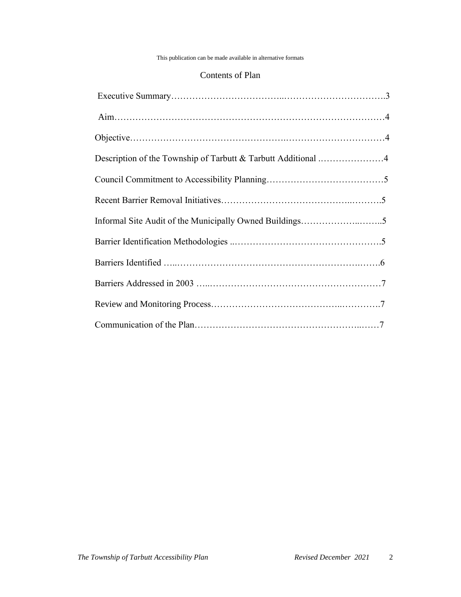#### This publication can be made available in alternative formats

#### Contents of Plan

| Description of the Township of Tarbutt & Tarbutt Additional 4 |  |
|---------------------------------------------------------------|--|
|                                                               |  |
|                                                               |  |
|                                                               |  |
|                                                               |  |
|                                                               |  |
|                                                               |  |
|                                                               |  |
|                                                               |  |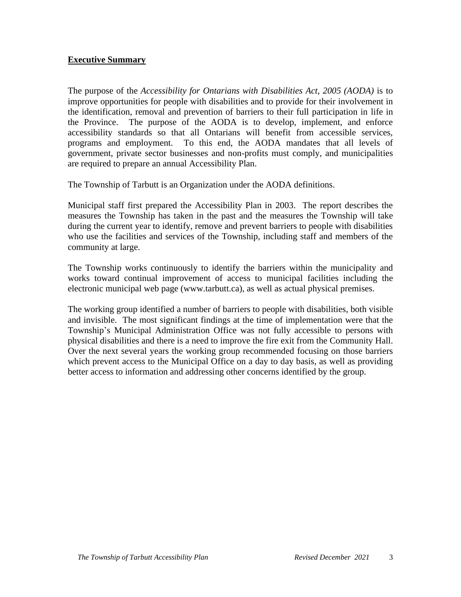# **Executive Summary**

The purpose of the *Accessibility for Ontarians with Disabilities Act, 2005 (AODA)* is to improve opportunities for people with disabilities and to provide for their involvement in the identification, removal and prevention of barriers to their full participation in life in the Province. The purpose of the AODA is to develop, implement, and enforce accessibility standards so that all Ontarians will benefit from accessible services, programs and employment. To this end, the AODA mandates that all levels of government, private sector businesses and non-profits must comply, and municipalities are required to prepare an annual Accessibility Plan.

The Township of Tarbutt is an Organization under the AODA definitions.

Municipal staff first prepared the Accessibility Plan in 2003. The report describes the measures the Township has taken in the past and the measures the Township will take during the current year to identify, remove and prevent barriers to people with disabilities who use the facilities and services of the Township, including staff and members of the community at large.

The Township works continuously to identify the barriers within the municipality and works toward continual improvement of access to municipal facilities including the electronic municipal web page (www.tarbutt.ca), as well as actual physical premises.

The working group identified a number of barriers to people with disabilities, both visible and invisible. The most significant findings at the time of implementation were that the Township's Municipal Administration Office was not fully accessible to persons with physical disabilities and there is a need to improve the fire exit from the Community Hall. Over the next several years the working group recommended focusing on those barriers which prevent access to the Municipal Office on a day to day basis, as well as providing better access to information and addressing other concerns identified by the group.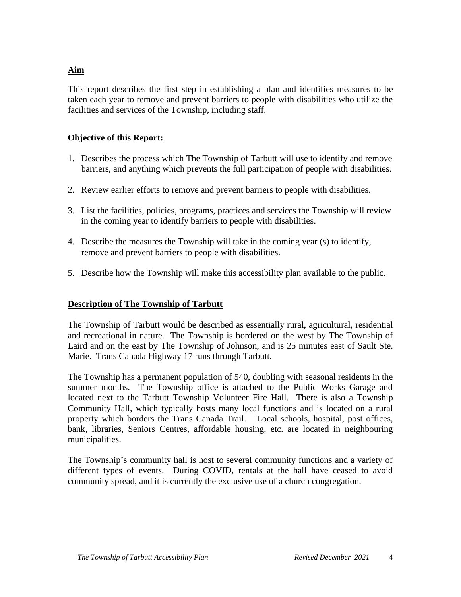# **Aim**

This report describes the first step in establishing a plan and identifies measures to be taken each year to remove and prevent barriers to people with disabilities who utilize the facilities and services of the Township, including staff.

#### **Objective of this Report:**

- 1. Describes the process which The Township of Tarbutt will use to identify and remove barriers, and anything which prevents the full participation of people with disabilities.
- 2. Review earlier efforts to remove and prevent barriers to people with disabilities.
- 3. List the facilities, policies, programs, practices and services the Township will review in the coming year to identify barriers to people with disabilities.
- 4. Describe the measures the Township will take in the coming year (s) to identify, remove and prevent barriers to people with disabilities.
- 5. Describe how the Township will make this accessibility plan available to the public.

# **Description of The Township of Tarbutt**

The Township of Tarbutt would be described as essentially rural, agricultural, residential and recreational in nature. The Township is bordered on the west by The Township of Laird and on the east by The Township of Johnson, and is 25 minutes east of Sault Ste. Marie. Trans Canada Highway 17 runs through Tarbutt.

The Township has a permanent population of 540, doubling with seasonal residents in the summer months. The Township office is attached to the Public Works Garage and located next to the Tarbutt Township Volunteer Fire Hall. There is also a Township Community Hall, which typically hosts many local functions and is located on a rural property which borders the Trans Canada Trail. Local schools, hospital, post offices, bank, libraries, Seniors Centres, affordable housing, etc. are located in neighbouring municipalities.

The Township's community hall is host to several community functions and a variety of different types of events. During COVID, rentals at the hall have ceased to avoid community spread, and it is currently the exclusive use of a church congregation.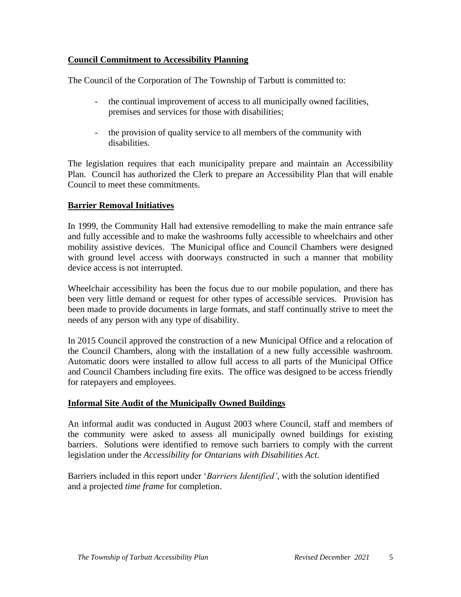# **Council Commitment to Accessibility Planning**

The Council of the Corporation of The Township of Tarbutt is committed to:

- the continual improvement of access to all municipally owned facilities, premises and services for those with disabilities;
- the provision of quality service to all members of the community with disabilities.

The legislation requires that each municipality prepare and maintain an Accessibility Plan. Council has authorized the Clerk to prepare an Accessibility Plan that will enable Council to meet these commitments.

# **Barrier Removal Initiatives**

In 1999, the Community Hall had extensive remodelling to make the main entrance safe and fully accessible and to make the washrooms fully accessible to wheelchairs and other mobility assistive devices. The Municipal office and Council Chambers were designed with ground level access with doorways constructed in such a manner that mobility device access is not interrupted.

Wheelchair accessibility has been the focus due to our mobile population, and there has been very little demand or request for other types of accessible services. Provision has been made to provide documents in large formats, and staff continually strive to meet the needs of any person with any type of disability.

In 2015 Council approved the construction of a new Municipal Office and a relocation of the Council Chambers, along with the installation of a new fully accessible washroom. Automatic doors were installed to allow full access to all parts of the Municipal Office and Council Chambers including fire exits. The office was designed to be access friendly for ratepayers and employees.

# **Informal Site Audit of the Municipally Owned Buildings**

An informal audit was conducted in August 2003 where Council, staff and members of the community were asked to assess all municipally owned buildings for existing barriers. Solutions were identified to remove such barriers to comply with the current legislation under the *Accessibility for Ontarians with Disabilities Act*.

Barriers included in this report under '*Barriers Identified'*, with the solution identified and a projected *time frame* for completion.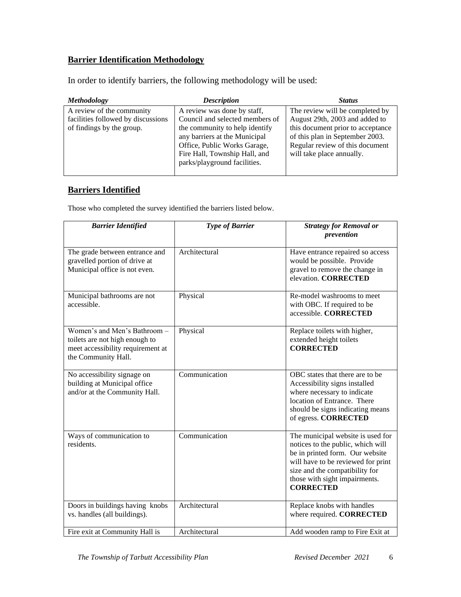# **Barrier Identification Methodology**

In order to identify barriers, the following methodology will be used:

| <i>Methodology</i>                                                                           | <b>Description</b>                                                                                                                                                                                                                 | <b>Status</b>                                                                                                                                                                                             |
|----------------------------------------------------------------------------------------------|------------------------------------------------------------------------------------------------------------------------------------------------------------------------------------------------------------------------------------|-----------------------------------------------------------------------------------------------------------------------------------------------------------------------------------------------------------|
| A review of the community<br>facilities followed by discussions<br>of findings by the group. | A review was done by staff,<br>Council and selected members of<br>the community to help identify<br>any barriers at the Municipal<br>Office, Public Works Garage,<br>Fire Hall, Township Hall, and<br>parks/playground facilities. | The review will be completed by<br>August 29th, 2003 and added to<br>this document prior to acceptance<br>of this plan in September 2003.<br>Regular review of this document<br>will take place annually. |

# **Barriers Identified**

Those who completed the survey identified the barriers listed below.

| <b>Barrier Identified</b>                                                                                                  | <b>Type of Barrier</b> | <b>Strategy for Removal or</b><br>prevention                                                                                                                                                                                           |
|----------------------------------------------------------------------------------------------------------------------------|------------------------|----------------------------------------------------------------------------------------------------------------------------------------------------------------------------------------------------------------------------------------|
| The grade between entrance and<br>gravelled portion of drive at<br>Municipal office is not even.                           | Architectural          | Have entrance repaired so access<br>would be possible. Provide<br>gravel to remove the change in<br>elevation. CORRECTED                                                                                                               |
| Municipal bathrooms are not<br>accessible.                                                                                 | Physical               | Re-model washrooms to meet<br>with OBC. If required to be<br>accessible. CORRECTED                                                                                                                                                     |
| Women's and Men's Bathroom -<br>toilets are not high enough to<br>meet accessibility requirement at<br>the Community Hall. | Physical               | Replace toilets with higher,<br>extended height toilets<br><b>CORRECTED</b>                                                                                                                                                            |
| No accessibility signage on<br>building at Municipal office<br>and/or at the Community Hall.                               | Communication          | OBC states that there are to be<br>Accessibility signs installed<br>where necessary to indicate<br>location of Entrance. There<br>should be signs indicating means<br>of egress. CORRECTED                                             |
| Ways of communication to<br>residents.                                                                                     | Communication          | The municipal website is used for<br>notices to the public, which will<br>be in printed form. Our website<br>will have to be reviewed for print<br>size and the compatibility for<br>those with sight impairments.<br><b>CORRECTED</b> |
| Doors in buildings having knobs<br>vs. handles (all buildings).                                                            | Architectural          | Replace knobs with handles<br>where required. CORRECTED                                                                                                                                                                                |
| Fire exit at Community Hall is                                                                                             | Architectural          | Add wooden ramp to Fire Exit at                                                                                                                                                                                                        |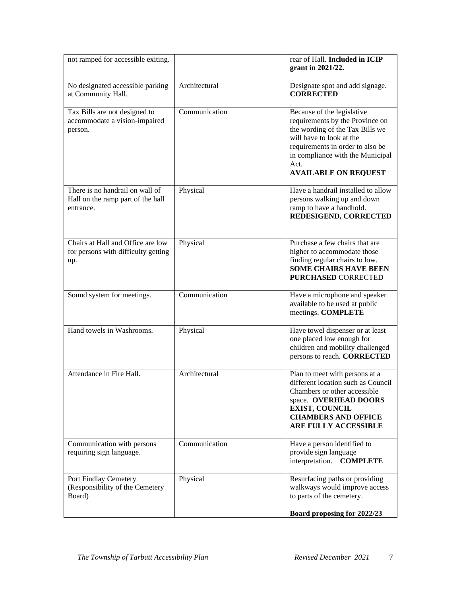| not ramped for accessible exiting.                                                |               | rear of Hall. Included in ICIP<br>grant in 2021/22.                                                                                                                                                                                         |
|-----------------------------------------------------------------------------------|---------------|---------------------------------------------------------------------------------------------------------------------------------------------------------------------------------------------------------------------------------------------|
| No designated accessible parking<br>at Community Hall.                            | Architectural | Designate spot and add signage.<br><b>CORRECTED</b>                                                                                                                                                                                         |
| Tax Bills are not designed to<br>accommodate a vision-impaired<br>person.         | Communication | Because of the legislative<br>requirements by the Province on<br>the wording of the Tax Bills we<br>will have to look at the<br>requirements in order to also be<br>in compliance with the Municipal<br>Act.<br><b>AVAILABLE ON REQUEST</b> |
| There is no handrail on wall of<br>Hall on the ramp part of the hall<br>entrance. | Physical      | Have a handrail installed to allow<br>persons walking up and down<br>ramp to have a handhold.<br>REDESIGEND, CORRECTED                                                                                                                      |
| Chairs at Hall and Office are low<br>for persons with difficulty getting<br>up.   | Physical      | Purchase a few chairs that are<br>higher to accommodate those<br>finding regular chairs to low.<br><b>SOME CHAIRS HAVE BEEN</b><br><b>PURCHASED CORRECTED</b>                                                                               |
| Sound system for meetings.                                                        | Communication | Have a microphone and speaker<br>available to be used at public<br>meetings. COMPLETE                                                                                                                                                       |
| Hand towels in Washrooms.                                                         | Physical      | Have towel dispenser or at least<br>one placed low enough for<br>children and mobility challenged<br>persons to reach. CORRECTED                                                                                                            |
| Attendance in Fire Hall.                                                          | Architectural | Plan to meet with persons at a<br>different location such as Council<br>Chambers or other accessible<br>space. OVERHEAD DOORS<br><b>EXIST, COUNCIL</b><br><b>CHAMBERS AND OFFICE</b><br>ARE FULLY ACCESSIBLE                                |
| Communication with persons<br>requiring sign language.                            | Communication | Have a person identified to<br>provide sign language<br>interpretation. COMPLETE                                                                                                                                                            |
| Port Findlay Cemetery<br>(Responsibility of the Cemetery<br>Board)                | Physical      | Resurfacing paths or providing<br>walkways would improve access<br>to parts of the cemetery.                                                                                                                                                |
|                                                                                   |               | Board proposing for 2022/23                                                                                                                                                                                                                 |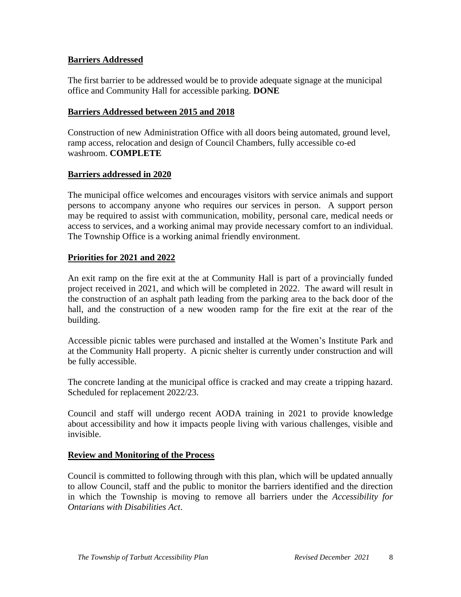#### **Barriers Addressed**

The first barrier to be addressed would be to provide adequate signage at the municipal office and Community Hall for accessible parking. **DONE**

#### **Barriers Addressed between 2015 and 2018**

Construction of new Administration Office with all doors being automated, ground level, ramp access, relocation and design of Council Chambers, fully accessible co-ed washroom. **COMPLETE**

#### **Barriers addressed in 2020**

The municipal office welcomes and encourages visitors with service animals and support persons to accompany anyone who requires our services in person. A support person may be required to assist with communication, mobility, personal care, medical needs or access to services, and a working animal may provide necessary comfort to an individual. The Township Office is a working animal friendly environment.

#### **Priorities for 2021 and 2022**

An exit ramp on the fire exit at the at Community Hall is part of a provincially funded project received in 2021, and which will be completed in 2022. The award will result in the construction of an asphalt path leading from the parking area to the back door of the hall, and the construction of a new wooden ramp for the fire exit at the rear of the building.

Accessible picnic tables were purchased and installed at the Women's Institute Park and at the Community Hall property. A picnic shelter is currently under construction and will be fully accessible.

The concrete landing at the municipal office is cracked and may create a tripping hazard. Scheduled for replacement 2022/23.

Council and staff will undergo recent AODA training in 2021 to provide knowledge about accessibility and how it impacts people living with various challenges, visible and invisible.

#### **Review and Monitoring of the Process**

Council is committed to following through with this plan, which will be updated annually to allow Council, staff and the public to monitor the barriers identified and the direction in which the Township is moving to remove all barriers under the *Accessibility for Ontarians with Disabilities Act*.